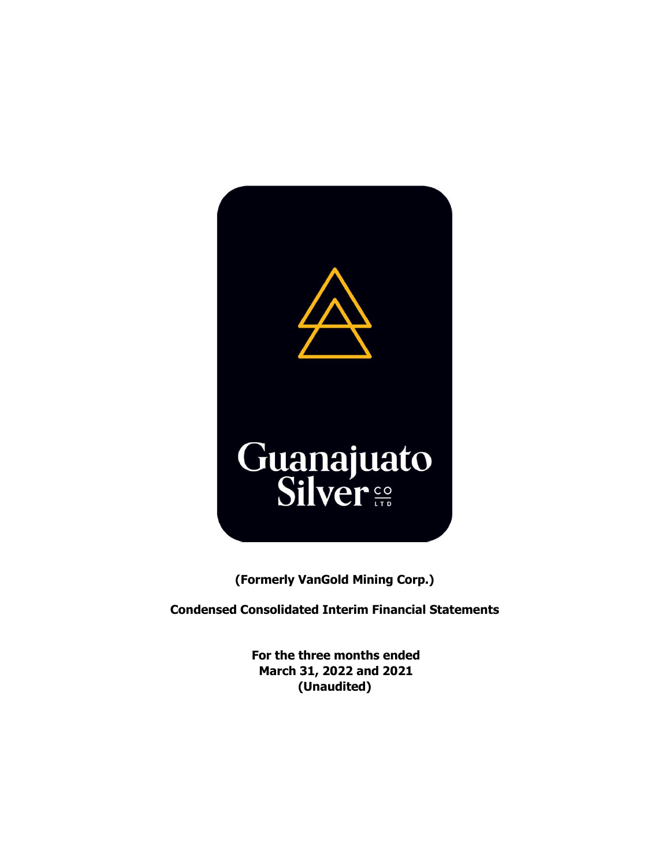

**(Formerly VanGold Mining Corp.)**

**Condensed Consolidated Interim Financial Statements** 

**For the three months ended March 31, 2022 and 2021 (Unaudited)**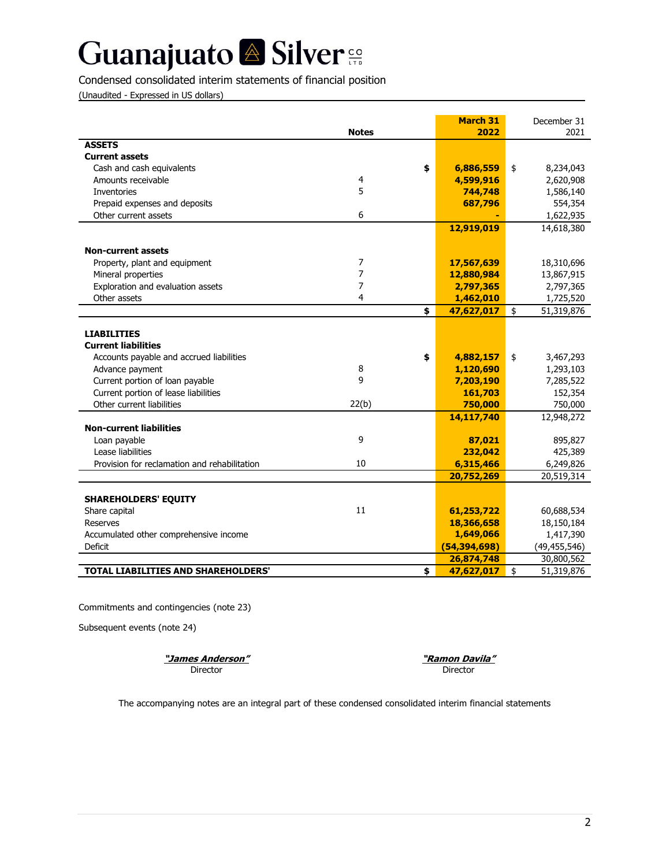## Condensed consolidated interim statements of financial position

(Unaudited - Expressed in US dollars)

|                                                          |              | <b>March 31</b>         | December 31      |
|----------------------------------------------------------|--------------|-------------------------|------------------|
|                                                          | <b>Notes</b> | 2022                    | 2021             |
| <b>ASSETS</b>                                            |              |                         |                  |
| <b>Current assets</b>                                    |              |                         |                  |
| Cash and cash equivalents                                |              | \$<br>6,886,559         | \$<br>8,234,043  |
| Amounts receivable                                       | 4            | 4,599,916               | 2,620,908        |
| <b>Inventories</b>                                       | 5            | 744,748                 | 1,586,140        |
| Prepaid expenses and deposits                            |              | 687,796                 | 554,354          |
| Other current assets                                     | 6            |                         | 1,622,935        |
|                                                          |              | 12,919,019              | 14,618,380       |
| <b>Non-current assets</b>                                |              |                         |                  |
| Property, plant and equipment                            | 7            | 17,567,639              | 18,310,696       |
| Mineral properties                                       | 7            | 12,880,984              | 13,867,915       |
| Exploration and evaluation assets                        | 7            | 2,797,365               | 2,797,365        |
| Other assets                                             | 4            | 1,462,010               | 1,725,520        |
|                                                          |              | \$<br>47,627,017        | \$<br>51,319,876 |
| <b>LIABILITIES</b>                                       |              |                         |                  |
| <b>Current liabilities</b>                               |              |                         |                  |
| Accounts payable and accrued liabilities                 |              | \$<br>4,882,157         | 3,467,293        |
| Advance payment                                          | 8            | 1,120,690               | \$<br>1,293,103  |
| Current portion of loan payable                          | 9            | 7,203,190               | 7,285,522        |
| Current portion of lease liabilities                     |              | 161,703                 | 152,354          |
| Other current liabilities                                | 22(b)        | 750,000                 | 750,000          |
|                                                          |              | 14,117,740              | 12,948,272       |
| <b>Non-current liabilities</b>                           |              |                         |                  |
| Loan payable                                             | 9            | 87,021                  | 895,827          |
| Lease liabilities                                        |              | 232,042                 | 425,389          |
| Provision for reclamation and rehabilitation             | 10           | 6,315,466               | 6,249,826        |
|                                                          |              | 20,752,269              | 20,519,314       |
|                                                          |              |                         |                  |
| <b>SHAREHOLDERS' EQUITY</b>                              | 11           |                         |                  |
| Share capital                                            |              | 61,253,722              | 60,688,534       |
| <b>Reserves</b>                                          |              | 18,366,658<br>1,649,066 | 18,150,184       |
| Accumulated other comprehensive income<br><b>Deficit</b> |              |                         | 1,417,390        |
|                                                          |              | (54, 394, 698)          | (49, 455, 546)   |
| <b>TOTAL LIABILITIES AND SHAREHOLDERS'</b>               |              | 26,874,748              | 30,800,562       |
|                                                          |              | \$<br>47,627,017        | \$<br>51,319,876 |

Commitments and contingencies (note 23)

Subsequent events (note 24)

**"James Anderson"** Director

**"Ramon Davila"** Director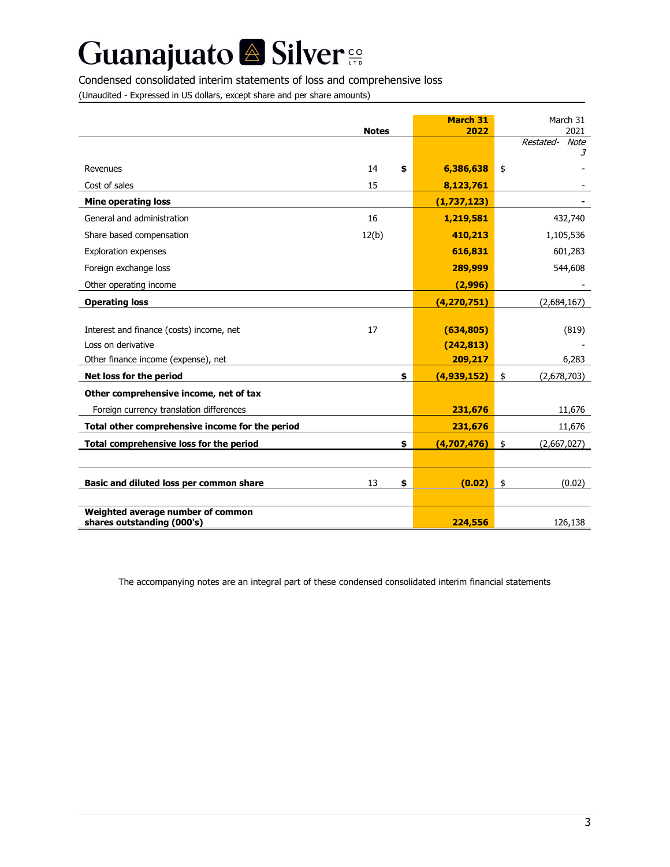# Guanajuato <sup>2</sup> Silver<sup>e</sup>

### Condensed consolidated interim statements of loss and comprehensive loss

(Unaudited - Expressed in US dollars, except share and per share amounts)

|                                                                                    | <b>Notes</b> | <b>March 31</b><br>2022  | March 31<br>2021       |
|------------------------------------------------------------------------------------|--------------|--------------------------|------------------------|
|                                                                                    |              |                          | Restated-<br>Note<br>3 |
| Revenues                                                                           | 14<br>\$     | 6,386,638                | \$                     |
| Cost of sales                                                                      | 15           | 8,123,761                |                        |
| <b>Mine operating loss</b>                                                         |              | (1, 737, 123)            |                        |
| General and administration                                                         | 16           | 1,219,581                | 432,740                |
| Share based compensation                                                           | 12(b)        | 410,213                  | 1,105,536              |
| Exploration expenses                                                               |              | 616,831                  | 601,283                |
| Foreign exchange loss                                                              |              | 289,999                  | 544,608                |
| Other operating income                                                             |              | (2,996)                  |                        |
| <b>Operating loss</b>                                                              |              | (4, 270, 751)            | (2,684,167)            |
| Interest and finance (costs) income, net<br>Loss on derivative                     | 17           | (634, 805)<br>(242, 813) | (819)                  |
| Other finance income (expense), net                                                |              | 209,217                  | 6,283                  |
| Net loss for the period                                                            | \$           | (4,939,152)              | (2,678,703)<br>\$      |
| Other comprehensive income, net of tax<br>Foreign currency translation differences |              | 231,676                  | 11,676                 |
| Total other comprehensive income for the period                                    |              | 231,676                  | 11,676                 |
| Total comprehensive loss for the period                                            | \$           | (4,707,476)              | \$<br>(2,667,027)      |
|                                                                                    |              |                          |                        |
| Basic and diluted loss per common share                                            | \$<br>13     | (0.02)                   | \$<br>(0.02)           |
| Weighted average number of common<br>shares outstanding (000's)                    |              | 224,556                  | 126,138                |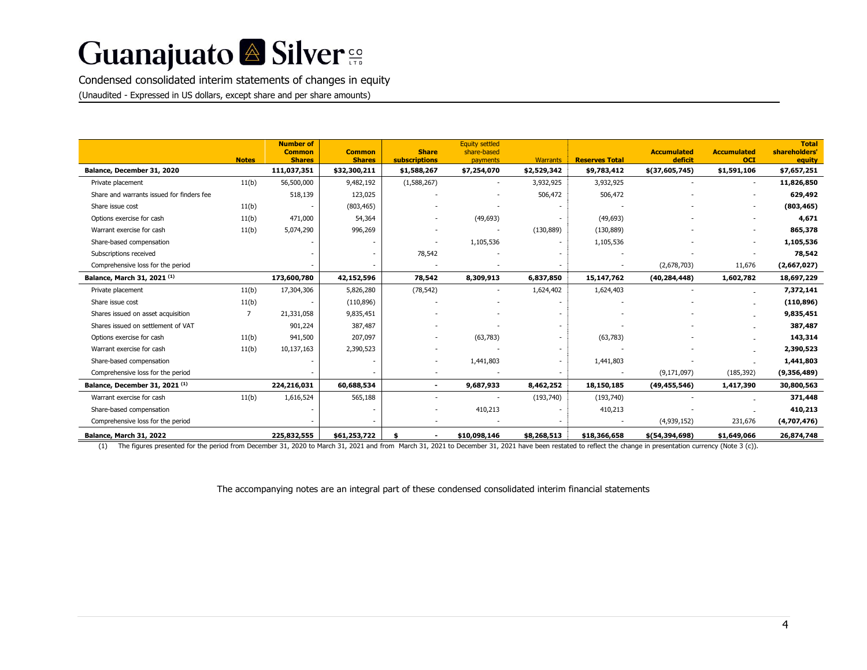Condensed consolidated interim statements of changes in equity (Unaudited - Expressed in US dollars, except share and per share amounts)

|                                           | <b>Notes</b> | <b>Number of</b><br><b>Common</b><br><b>Shares</b> | <b>Common</b><br><b>Shares</b> | <b>Share</b><br><b>subscriptions</b> | <b>Equity settled</b><br>share-based<br>payments | <b>Warrants</b> | <b>Reserves Total</b> | <b>Accumulated</b><br>deficit | <b>Accumulated</b><br><b>OCI</b> | <b>Total</b><br>shareholders'<br>equity |
|-------------------------------------------|--------------|----------------------------------------------------|--------------------------------|--------------------------------------|--------------------------------------------------|-----------------|-----------------------|-------------------------------|----------------------------------|-----------------------------------------|
| Balance, December 31, 2020                |              | 111,037,351                                        | \$32,300,211                   | \$1,588,267                          | \$7,254,070                                      | \$2,529,342     | \$9,783,412           | \$(37,605,745)                | \$1,591,106                      | \$7,657,251                             |
| Private placement                         | 11(b)        | 56,500,000                                         | 9,482,192                      | (1,588,267)                          |                                                  | 3,932,925       | 3,932,925             |                               |                                  | 11,826,850                              |
| Share and warrants issued for finders fee |              | 518,139                                            | 123,025                        |                                      |                                                  | 506,472         | 506,472               |                               |                                  | 629,492                                 |
| Share issue cost                          | 11(b)        |                                                    | (803, 465)                     |                                      |                                                  |                 |                       |                               |                                  | (803, 465)                              |
| Options exercise for cash                 | 11(b)        | 471,000                                            | 54,364                         |                                      | (49, 693)                                        |                 | (49, 693)             |                               |                                  | 4,671                                   |
| Warrant exercise for cash                 | 11(b)        | 5,074,290                                          | 996,269                        |                                      |                                                  | (130, 889)      | (130, 889)            |                               |                                  | 865,378                                 |
| Share-based compensation                  |              |                                                    |                                |                                      | 1,105,536                                        |                 | 1,105,536             |                               |                                  | 1,105,536                               |
| Subscriptions received                    |              |                                                    |                                | 78,542                               |                                                  |                 |                       |                               |                                  | 78,542                                  |
| Comprehensive loss for the period         |              |                                                    |                                |                                      |                                                  |                 |                       | (2,678,703)                   | 11,676                           | (2,667,027)                             |
| Balance, March 31, 2021 (1)               |              | 173,600,780                                        | 42,152,596                     | 78,542                               | 8,309,913                                        | 6,837,850       | 15,147,762            | (40, 284, 448)                | 1,602,782                        | 18,697,229                              |
| Private placement                         | 11(b)        | 17,304,306                                         | 5,826,280                      | (78, 542)                            |                                                  | 1,624,402       | 1,624,403             |                               |                                  | 7,372,141                               |
| Share issue cost                          | 11(b)        |                                                    | (110, 896)                     |                                      |                                                  |                 |                       |                               |                                  | (110, 896)                              |
| Shares issued on asset acquisition        | 7            | 21,331,058                                         | 9,835,451                      |                                      |                                                  |                 |                       |                               |                                  | 9,835,451                               |
| Shares issued on settlement of VAT        |              | 901,224                                            | 387,487                        |                                      |                                                  |                 |                       |                               |                                  | 387,487                                 |
| Options exercise for cash                 | 11(b)        | 941,500                                            | 207,097                        |                                      | (63, 783)                                        |                 | (63, 783)             |                               |                                  | 143,314                                 |
| Warrant exercise for cash                 | 11(b)        | 10,137,163                                         | 2,390,523                      |                                      |                                                  |                 |                       |                               |                                  | 2,390,523                               |
| Share-based compensation                  |              |                                                    |                                |                                      | 1,441,803                                        |                 | 1,441,803             |                               |                                  | 1,441,803                               |
| Comprehensive loss for the period         |              |                                                    |                                |                                      |                                                  |                 |                       | (9, 171, 097)                 | (185, 392)                       | (9,356,489)                             |
| Balance, December 31, 2021 (1)            |              | 224,216,031                                        | 60,688,534                     | $\blacksquare$                       | 9,687,933                                        | 8,462,252       | 18,150,185            | (49, 455, 546)                | 1,417,390                        | 30,800,563                              |
| Warrant exercise for cash                 | 11(b)        | 1,616,524                                          | 565,188                        |                                      |                                                  | (193, 740)      | (193, 740)            |                               |                                  | 371,448                                 |
| Share-based compensation                  |              |                                                    |                                |                                      | 410,213                                          |                 | 410,213               |                               |                                  | 410,213                                 |
| Comprehensive loss for the period         |              |                                                    |                                |                                      |                                                  |                 |                       | (4,939,152)                   | 231,676                          | (4,707,476)                             |
| Balance, March 31, 2022                   |              | 225,832,555                                        | \$61,253,722                   |                                      | \$10,098,146                                     | \$8,268,513     | \$18,366,658          | \$(54, 394, 698)              | \$1,649,066                      | 26,874,748                              |

(1) The figures presented for the period from December 31, 2020 to March 31, 2021 and from March 31, 2021 to December 31, 2021 have been restated to reflect the change in presentation currency (Note 3 (c)).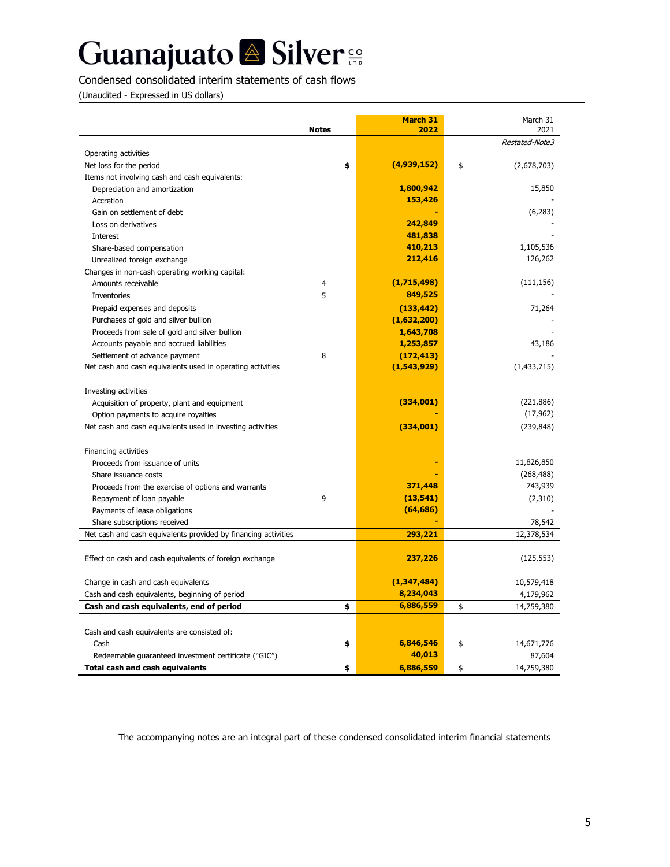Condensed consolidated interim statements of cash flows

(Unaudited - Expressed in US dollars)

|                                                                | <b>Notes</b> | <b>March 31</b><br>2022 | March 31<br>2021  |
|----------------------------------------------------------------|--------------|-------------------------|-------------------|
|                                                                |              |                         | Restated-Note3    |
| Operating activities                                           |              |                         |                   |
| Net loss for the period                                        | \$           | (4,939,152)             | \$<br>(2,678,703) |
| Items not involving cash and cash equivalents:                 |              |                         |                   |
| Depreciation and amortization                                  |              | 1,800,942               | 15,850            |
| Accretion                                                      |              | 153,426                 |                   |
| Gain on settlement of debt                                     |              |                         | (6,283)           |
| Loss on derivatives                                            |              | 242,849                 |                   |
| Interest                                                       |              | 481,838                 |                   |
| Share-based compensation                                       |              | 410,213                 | 1,105,536         |
| Unrealized foreign exchange                                    |              | 212,416                 | 126,262           |
| Changes in non-cash operating working capital:                 |              |                         |                   |
| Amounts receivable                                             | 4            | (1,715,498)             | (111, 156)        |
| Inventories                                                    | 5            | 849,525                 |                   |
| Prepaid expenses and deposits                                  |              | (133, 442)              | 71,264            |
| Purchases of gold and silver bullion                           |              | (1,632,200)             |                   |
| Proceeds from sale of gold and silver bullion                  |              | 1,643,708               |                   |
| Accounts payable and accrued liabilities                       |              | 1,253,857               | 43,186            |
| Settlement of advance payment                                  | 8            | (172, 413)              |                   |
| Net cash and cash equivalents used in operating activities     |              | (1,543,929)             | (1, 433, 715)     |
|                                                                |              |                         |                   |
| Investing activities                                           |              |                         |                   |
| Acquisition of property, plant and equipment                   |              | (334,001)               | (221, 886)        |
| Option payments to acquire royalties                           |              |                         | (17, 962)         |
| Net cash and cash equivalents used in investing activities     |              | (334,001)               | (239, 848)        |
| Financing activities                                           |              |                         |                   |
| Proceeds from issuance of units                                |              |                         | 11,826,850        |
| Share issuance costs                                           |              |                         | (268, 488)        |
| Proceeds from the exercise of options and warrants             |              | 371,448                 | 743,939           |
| Repayment of loan payable                                      | 9            | (13, 541)               |                   |
| Payments of lease obligations                                  |              | (64, 686)               | (2,310)           |
| Share subscriptions received                                   |              |                         | 78,542            |
| Net cash and cash equivalents provided by financing activities |              | 293,221                 | 12,378,534        |
|                                                                |              |                         |                   |
| Effect on cash and cash equivalents of foreign exchange        |              | 237,226                 | (125, 553)        |
|                                                                |              |                         |                   |
| Change in cash and cash equivalents                            |              | (1,347,484)             | 10,579,418        |
| Cash and cash equivalents, beginning of period                 |              | 8,234,043               | 4,179,962         |
| Cash and cash equivalents, end of period                       | \$           | 6,886,559               | \$<br>14,759,380  |
|                                                                |              |                         |                   |
| Cash and cash equivalents are consisted of:                    |              |                         |                   |
| Cash                                                           | \$           | 6,846,546               | \$<br>14,671,776  |
| Redeemable guaranteed investment certificate ("GIC")           |              | 40,013                  | 87,604            |
| <b>Total cash and cash equivalents</b>                         | \$           | 6,886,559               | \$<br>14,759,380  |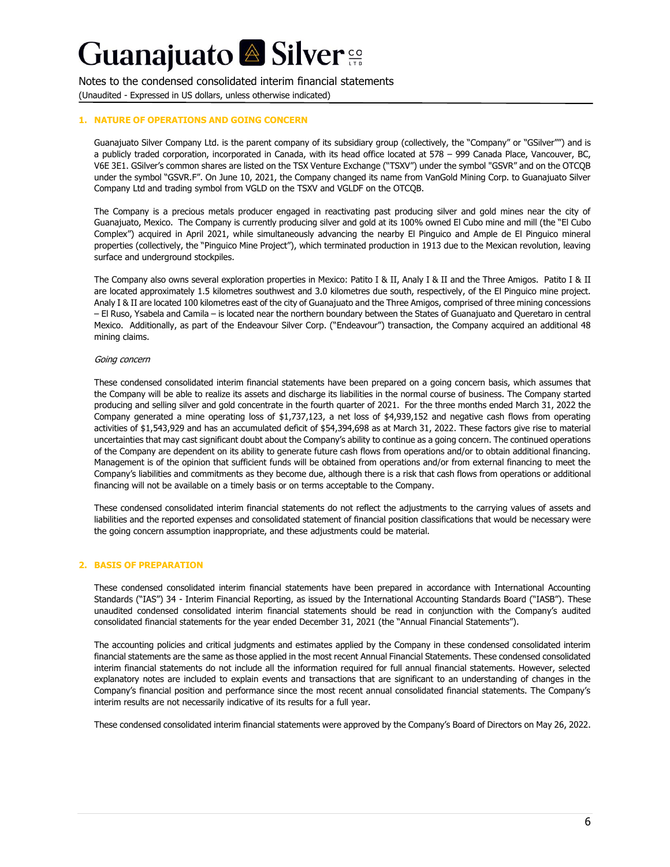Notes to the condensed consolidated interim financial statements

(Unaudited - Expressed in US dollars, unless otherwise indicated)

#### **1. NATURE OF OPERATIONS AND GOING CONCERN**

Guanajuato Silver Company Ltd. is the parent company of its subsidiary group (collectively, the "Company" or "GSilver"") and is a publicly traded corporation, incorporated in Canada, with its head office located at 578 – 999 Canada Place, Vancouver, BC, V6E 3E1. GSilver's common shares are listed on the TSX Venture Exchange ("TSXV") under the symbol "GSVR" and on the OTCQB under the symbol "GSVR.F". On June 10, 2021, the Company changed its name from VanGold Mining Corp. to Guanajuato Silver Company Ltd and trading symbol from VGLD on the TSXV and VGLDF on the OTCQB.

The Company is a precious metals producer engaged in reactivating past producing silver and gold mines near the city of Guanajuato, Mexico. The Company is currently producing silver and gold at its 100% owned El Cubo mine and mill (the "El Cubo Complex") acquired in April 2021, while simultaneously advancing the nearby El Pinguico and Ample de El Pinguico mineral properties (collectively, the "Pinguico Mine Project"), which terminated production in 1913 due to the Mexican revolution, leaving surface and underground stockpiles.

The Company also owns several exploration properties in Mexico: Patito I & II, Analy I & II and the Three Amigos. Patito I & II are located approximately 1.5 kilometres southwest and 3.0 kilometres due south, respectively, of the El Pinguico mine project. Analy I & II are located 100 kilometres east of the city of Guanajuato and the Three Amigos, comprised of three mining concessions – El Ruso, Ysabela and Camila – is located near the northern boundary between the States of Guanajuato and Queretaro in central Mexico. Additionally, as part of the Endeavour Silver Corp. ("Endeavour") transaction, the Company acquired an additional 48 mining claims.

#### Going concern

These condensed consolidated interim financial statements have been prepared on a going concern basis, which assumes that the Company will be able to realize its assets and discharge its liabilities in the normal course of business. The Company started producing and selling silver and gold concentrate in the fourth quarter of 2021. For the three months ended March 31, 2022 the Company generated a mine operating loss of \$1,737,123, a net loss of \$4,939,152 and negative cash flows from operating activities of \$1,543,929 and has an accumulated deficit of \$54,394,698 as at March 31, 2022. These factors give rise to material uncertainties that may cast significant doubt about the Company's ability to continue as a going concern. The continued operations of the Company are dependent on its ability to generate future cash flows from operations and/or to obtain additional financing. Management is of the opinion that sufficient funds will be obtained from operations and/or from external financing to meet the Company's liabilities and commitments as they become due, although there is a risk that cash flows from operations or additional financing will not be available on a timely basis or on terms acceptable to the Company.

These condensed consolidated interim financial statements do not reflect the adjustments to the carrying values of assets and liabilities and the reported expenses and consolidated statement of financial position classifications that would be necessary were the going concern assumption inappropriate, and these adjustments could be material.

#### **2. BASIS OF PREPARATION**

These condensed consolidated interim financial statements have been prepared in accordance with International Accounting Standards ("IAS") 34 - Interim Financial Reporting, as issued by the International Accounting Standards Board ("IASB"). These unaudited condensed consolidated interim financial statements should be read in conjunction with the Company's audited consolidated financial statements for the year ended December 31, 2021 (the "Annual Financial Statements").

The accounting policies and critical judgments and estimates applied by the Company in these condensed consolidated interim financial statements are the same as those applied in the most recent Annual Financial Statements. These condensed consolidated interim financial statements do not include all the information required for full annual financial statements. However, selected explanatory notes are included to explain events and transactions that are significant to an understanding of changes in the Company's financial position and performance since the most recent annual consolidated financial statements. The Company's interim results are not necessarily indicative of its results for a full year.

These condensed consolidated interim financial statements were approved by the Company's Board of Directors on May 26, 2022.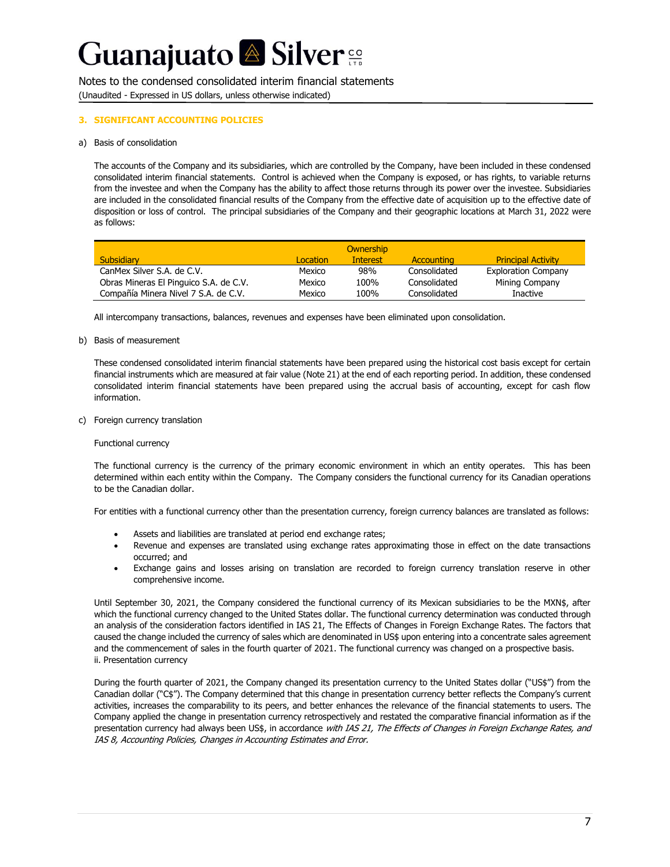Notes to the condensed consolidated interim financial statements (Unaudited - Expressed in US dollars, unless otherwise indicated)

#### **3. SIGNIFICANT ACCOUNTING POLICIES**

#### a) Basis of consolidation

The accounts of the Company and its subsidiaries, which are controlled by the Company, have been included in these condensed consolidated interim financial statements. Control is achieved when the Company is exposed, or has rights, to variable returns from the investee and when the Company has the ability to affect those returns through its power over the investee. Subsidiaries are included in the consolidated financial results of the Company from the effective date of acquisition up to the effective date of disposition or loss of control. The principal subsidiaries of the Company and their geographic locations at March 31, 2022 were as follows:

|                                        |          | <b>Ownership</b> |                   |                            |
|----------------------------------------|----------|------------------|-------------------|----------------------------|
| <b>Subsidiary</b>                      | Location | Interest         | <b>Accounting</b> | <b>Principal Activity</b>  |
| CanMex Silver S.A. de C.V.             | Mexico   | 98%              | Consolidated      | <b>Exploration Company</b> |
| Obras Mineras El Pinguico S.A. de C.V. | Mexico   | 100%             | Consolidated      | Mining Company             |
| Compañía Minera Nivel 7 S.A. de C.V.   | Mexico   | 100%             | Consolidated      | <b>Inactive</b>            |

All intercompany transactions, balances, revenues and expenses have been eliminated upon consolidation.

#### b) Basis of measurement

These condensed consolidated interim financial statements have been prepared using the historical cost basis except for certain financial instruments which are measured at fair value (Note 21) at the end of each reporting period. In addition, these condensed consolidated interim financial statements have been prepared using the accrual basis of accounting, except for cash flow information.

c) Foreign currency translation

#### Functional currency

The functional currency is the currency of the primary economic environment in which an entity operates. This has been determined within each entity within the Company. The Company considers the functional currency for its Canadian operations to be the Canadian dollar.

For entities with a functional currency other than the presentation currency, foreign currency balances are translated as follows:

- Assets and liabilities are translated at period end exchange rates;
- Revenue and expenses are translated using exchange rates approximating those in effect on the date transactions occurred; and
- Exchange gains and losses arising on translation are recorded to foreign currency translation reserve in other comprehensive income.

Until September 30, 2021, the Company considered the functional currency of its Mexican subsidiaries to be the MXN\$, after which the functional currency changed to the United States dollar. The functional currency determination was conducted through an analysis of the consideration factors identified in IAS 21, The Effects of Changes in Foreign Exchange Rates. The factors that caused the change included the currency of sales which are denominated in US\$ upon entering into a concentrate sales agreement and the commencement of sales in the fourth quarter of 2021. The functional currency was changed on a prospective basis. ii. Presentation currency

During the fourth quarter of 2021, the Company changed its presentation currency to the United States dollar ("US\$") from the Canadian dollar ("C\$"). The Company determined that this change in presentation currency better reflects the Company's current activities, increases the comparability to its peers, and better enhances the relevance of the financial statements to users. The Company applied the change in presentation currency retrospectively and restated the comparative financial information as if the presentation currency had always been US\$, in accordance with IAS 21, The Effects of Changes in Foreign Exchange Rates, and IAS 8, Accounting Policies, Changes in Accounting Estimates and Error.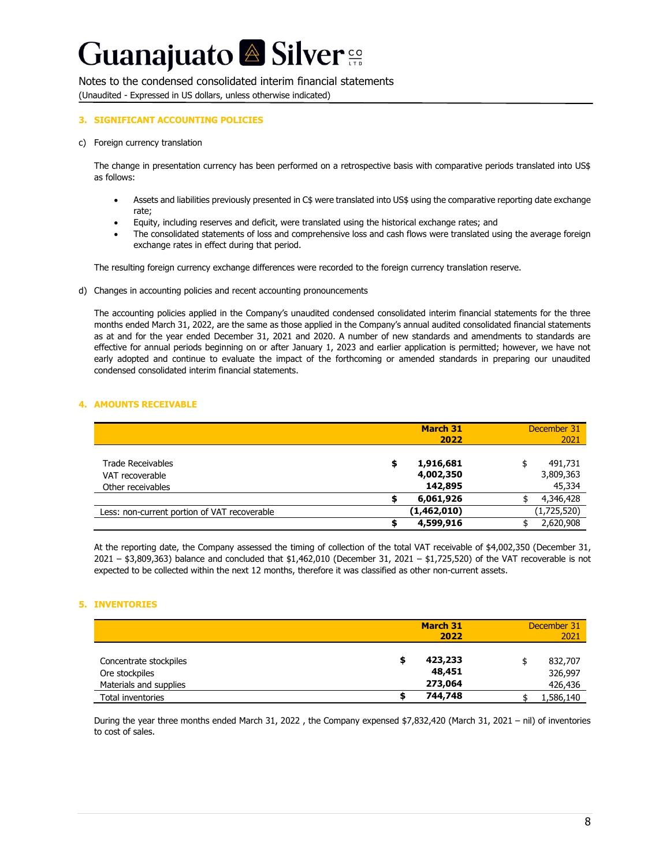#### Notes to the condensed consolidated interim financial statements

(Unaudited - Expressed in US dollars, unless otherwise indicated)

#### **3. SIGNIFICANT ACCOUNTING POLICIES**

c) Foreign currency translation

The change in presentation currency has been performed on a retrospective basis with comparative periods translated into US\$ as follows:

- Assets and liabilities previously presented in C\$ were translated into US\$ using the comparative reporting date exchange rate;
- Equity, including reserves and deficit, were translated using the historical exchange rates; and
- The consolidated statements of loss and comprehensive loss and cash flows were translated using the average foreign exchange rates in effect during that period.

The resulting foreign currency exchange differences were recorded to the foreign currency translation reserve.

d) Changes in accounting policies and recent accounting pronouncements

The accounting policies applied in the Company's unaudited condensed consolidated interim financial statements for the three months ended March 31, 2022, are the same as those applied in the Company's annual audited consolidated financial statements as at and for the year ended December 31, 2021 and 2020. A number of new standards and amendments to standards are effective for annual periods beginning on or after January 1, 2023 and earlier application is permitted; however, we have not early adopted and continue to evaluate the impact of the forthcoming or amended standards in preparing our unaudited condensed consolidated interim financial statements.

#### **4. AMOUNTS RECEIVABLE**

|                                                           |   | <b>March 31</b><br>2022           | December 31<br>2021            |
|-----------------------------------------------------------|---|-----------------------------------|--------------------------------|
| Trade Receivables<br>VAT recoverable<br>Other receivables | S | 1,916,681<br>4,002,350<br>142,895 | 491,731<br>3,809,363<br>45,334 |
|                                                           |   | 6,061,926                         | 4,346,428                      |
| Less: non-current portion of VAT recoverable              |   | (1,462,010)                       | (1,725,520)                    |
|                                                           |   | 4,599,916                         | 2,620,908                      |

At the reporting date, the Company assessed the timing of collection of the total VAT receivable of \$4,002,350 (December 31,  $2021 - $3,809,363$ ) balance and concluded that  $$1,462,010$  (December 31, 2021 –  $$1,725,520$ ) of the VAT recoverable is not expected to be collected within the next 12 months, therefore it was classified as other non-current assets.

#### **5. INVENTORIES**

|                                                                    | <b>March 31</b><br>2022      | December 31<br>2021           |
|--------------------------------------------------------------------|------------------------------|-------------------------------|
| Concentrate stockpiles<br>Ore stockpiles<br>Materials and supplies | 423,233<br>48,451<br>273,064 | 832,707<br>326,997<br>426,436 |
| Total inventories                                                  | 744,748                      | 1,586,140                     |

During the year three months ended March 31, 2022 , the Company expensed \$7,832,420 (March 31, 2021 – nil) of inventories to cost of sales.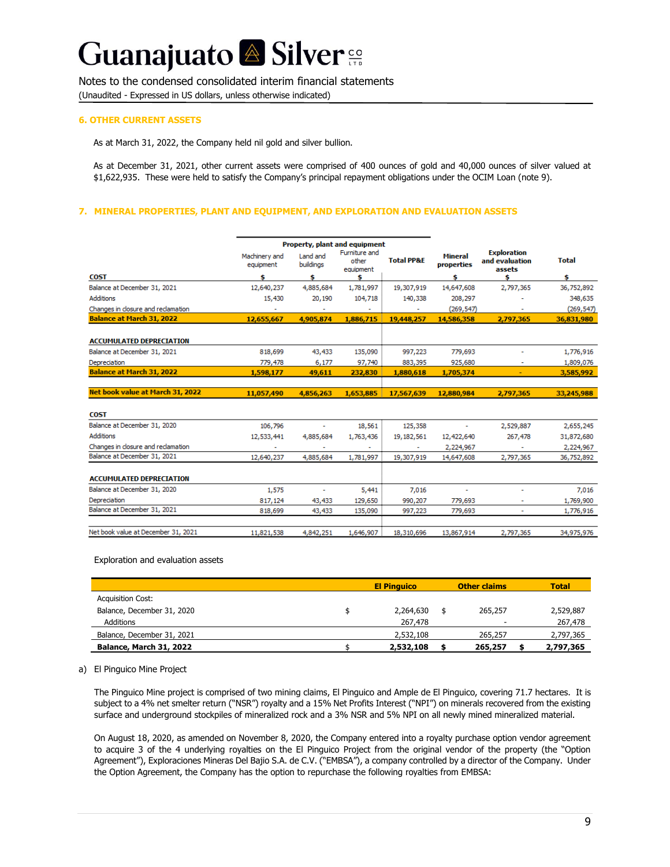Notes to the condensed consolidated interim financial statements

(Unaudited - Expressed in US dollars, unless otherwise indicated)

#### **6. OTHER CURRENT ASSETS**

As at March 31, 2022, the Company held nil gold and silver bullion.

As at December 31, 2021, other current assets were comprised of 400 ounces of gold and 40,000 ounces of silver valued at \$1,622,935. These were held to satisfy the Company's principal repayment obligations under the OCIM Loan (note 9).

#### **7. MINERAL PROPERTIES, PLANT AND EQUIPMENT, AND EXPLORATION AND EVALUATION ASSETS**

|                                    |                            |                       | Property, plant and equipment       |                       |                                     |                                                |              |
|------------------------------------|----------------------------|-----------------------|-------------------------------------|-----------------------|-------------------------------------|------------------------------------------------|--------------|
|                                    | Machinery and<br>equipment | Land and<br>buildinas | Furniture and<br>other<br>equipment | <b>Total PP&amp;E</b> | <b>Mineral</b><br><b>properties</b> | <b>Exploration</b><br>and evaluation<br>assets | <b>Total</b> |
| <b>COST</b>                        | Ś                          | s                     | s                                   |                       | s                                   | s                                              | Ś            |
| Balance at December 31, 2021       | 12,640,237                 | 4,885,684             | 1,781,997                           | 19,307,919            | 14,647,608                          | 2,797,365                                      | 36,752,892   |
| <b>Additions</b>                   | 15,430                     | 20,190                | 104,718                             | 140,338               | 208,297                             |                                                | 348,635      |
| Changes in closure and reclamation | $\sim$                     | ٠                     |                                     | ٠                     | (269, 547)                          | ٠                                              | (269, 547)   |
| <b>Balance at March 31, 2022</b>   | 12,655,667                 | 4,905,874             | 1,886,715                           | 19,448,257            | 14,586,358                          | 2,797,365                                      | 36,831,980   |
|                                    |                            |                       |                                     |                       |                                     |                                                |              |
| <b>ACCUMULATED DEPRECIATION</b>    |                            |                       |                                     |                       |                                     |                                                |              |
| Balance at December 31, 2021       | 818,699                    | 43,433                | 135,090                             | 997,223               | 779,693                             |                                                | 1,776,916    |
| Depreciation                       | 779,478                    | 6,177                 | 97,740                              | 883,395               | 925,680                             | ٠                                              | 1,809,076    |
| <b>Balance at March 31, 2022</b>   | 1,598,177                  | 49,611                | 232,830                             | 1,880,618             | 1,705,374                           |                                                | 3,585,992    |
|                                    |                            |                       |                                     |                       |                                     |                                                |              |
| Net book value at March 31, 2022   | 11,057,490                 | 4.856.263             | 1,653,885                           | 17,567,639            | 12.880.984                          | 2,797,365                                      | 33,245,988   |
|                                    |                            |                       |                                     |                       |                                     |                                                |              |
| <b>COST</b>                        |                            |                       |                                     |                       |                                     |                                                |              |
| Balance at December 31, 2020       | 106,796                    | ۰                     | 18,561                              | 125,358               | $\tilde{\phantom{a}}$               | 2,529,887                                      | 2,655,245    |
| <b>Additions</b>                   | 12,533,441                 | 4,885,684             | 1,763,436                           | 19, 182, 561          | 12,422,640                          | 267,478                                        | 31,872,680   |
| Changes in closure and reclamation |                            |                       |                                     |                       | 2,224,967                           |                                                | 2,224,967    |
| Balance at December 31, 2021       | 12,640,237                 | 4,885,684             | 1,781,997                           | 19,307,919            | 14,647,608                          | 2,797,365                                      | 36,752,892   |
|                                    |                            |                       |                                     |                       |                                     |                                                |              |
| <b>ACCUMULATED DEPRECIATION</b>    |                            |                       |                                     |                       |                                     |                                                |              |
| Balance at December 31, 2020       | 1,575                      | $\tilde{\phantom{a}}$ | 5,441                               | 7,016                 | $\tilde{\phantom{a}}$               | ٠                                              | 7,016        |
| Depreciation                       | 817,124                    | 43,433                | 129,650                             | 990,207               | 779,693                             | $\sim$                                         | 1,769,900    |
| Balance at December 31, 2021       | 818,699                    | 43,433                | 135,090                             | 997,223               | 779,693                             | ٠                                              | 1,776,916    |
|                                    |                            |                       |                                     |                       |                                     |                                                |              |

Exploration and evaluation assets

Net book value at December 31, 2021

|                            | <b>El Pinguico</b> | <b>Other claims</b> | <b>Total</b> |
|----------------------------|--------------------|---------------------|--------------|
| <b>Acquisition Cost:</b>   |                    |                     |              |
| Balance, December 31, 2020 | 2,264,630          | 265,257             | 2,529,887    |
| <b>Additions</b>           | 267,478            |                     | 267,478      |
| Balance, December 31, 2021 | 2,532,108          | 265,257             | 2,797,365    |
| Balance, March 31, 2022    | 2,532,108          | 265,257             | 2,797,365    |

1,646,907

18,310,696

13,867,914

2,797,365

34,975,976

4,842,251

11,821,538

#### a) El Pinguico Mine Project

The Pinguico Mine project is comprised of two mining claims, El Pinguico and Ample de El Pinguico, covering 71.7 hectares. It is subject to a 4% net smelter return ("NSR") royalty and a 15% Net Profits Interest ("NPI") on minerals recovered from the existing surface and underground stockpiles of mineralized rock and a 3% NSR and 5% NPI on all newly mined mineralized material.

On August 18, 2020, as amended on November 8, 2020, the Company entered into a royalty purchase option vendor agreement to acquire 3 of the 4 underlying royalties on the El Pinguico Project from the original vendor of the property (the "Option Agreement"), Exploraciones Mineras Del Bajio S.A. de C.V. ("EMBSA"), a company controlled by a director of the Company. Under the Option Agreement, the Company has the option to repurchase the following royalties from EMBSA: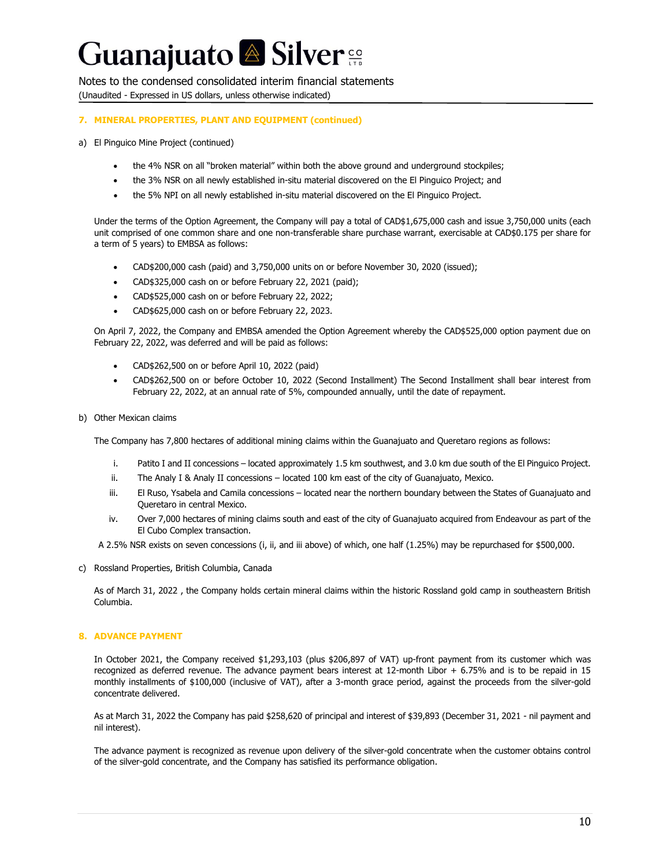Notes to the condensed consolidated interim financial statements (Unaudited - Expressed in US dollars, unless otherwise indicated)

### **7. MINERAL PROPERTIES, PLANT AND EQUIPMENT (continued)**

- a) El Pinguico Mine Project (continued)
	- the 4% NSR on all "broken material" within both the above ground and underground stockpiles;
	- the 3% NSR on all newly established in-situ material discovered on the El Pinguico Project; and
	- the 5% NPI on all newly established in-situ material discovered on the El Pinguico Project.

Under the terms of the Option Agreement, the Company will pay a total of CAD\$1,675,000 cash and issue 3,750,000 units (each unit comprised of one common share and one non-transferable share purchase warrant, exercisable at CAD\$0.175 per share for a term of 5 years) to EMBSA as follows:

- CAD\$200,000 cash (paid) and 3,750,000 units on or before November 30, 2020 (issued);
- CAD\$325,000 cash on or before February 22, 2021 (paid);
- CAD\$525,000 cash on or before February 22, 2022;
- CAD\$625,000 cash on or before February 22, 2023.

On April 7, 2022, the Company and EMBSA amended the Option Agreement whereby the CAD\$525,000 option payment due on February 22, 2022, was deferred and will be paid as follows:

- CAD\$262,500 on or before April 10, 2022 (paid)
- CAD\$262,500 on or before October 10, 2022 (Second Installment) The Second Installment shall bear interest from February 22, 2022, at an annual rate of 5%, compounded annually, until the date of repayment.
- b) Other Mexican claims

The Company has 7,800 hectares of additional mining claims within the Guanajuato and Queretaro regions as follows:

- i. Patito I and II concessions located approximately 1.5 km southwest, and 3.0 km due south of the El Pinguico Project.
- ii. The Analy I & Analy II concessions located 100 km east of the city of Guanajuato, Mexico.
- iii. El Ruso, Ysabela and Camila concessions located near the northern boundary between the States of Guanajuato and Queretaro in central Mexico.
- iv. Over 7,000 hectares of mining claims south and east of the city of Guanajuato acquired from Endeavour as part of the El Cubo Complex transaction.
- A 2.5% NSR exists on seven concessions (i, ii, and iii above) of which, one half (1.25%) may be repurchased for \$500,000.
- c) Rossland Properties, British Columbia, Canada

As of March 31, 2022 , the Company holds certain mineral claims within the historic Rossland gold camp in southeastern British Columbia.

#### **8. ADVANCE PAYMENT**

In October 2021, the Company received \$1,293,103 (plus \$206,897 of VAT) up-front payment from its customer which was recognized as deferred revenue. The advance payment bears interest at 12-month Libor + 6.75% and is to be repaid in 15 monthly installments of \$100,000 (inclusive of VAT), after a 3-month grace period, against the proceeds from the silver-gold concentrate delivered.

As at March 31, 2022 the Company has paid \$258,620 of principal and interest of \$39,893 (December 31, 2021 - nil payment and nil interest).

The advance payment is recognized as revenue upon delivery of the silver-gold concentrate when the customer obtains control of the silver-gold concentrate, and the Company has satisfied its performance obligation.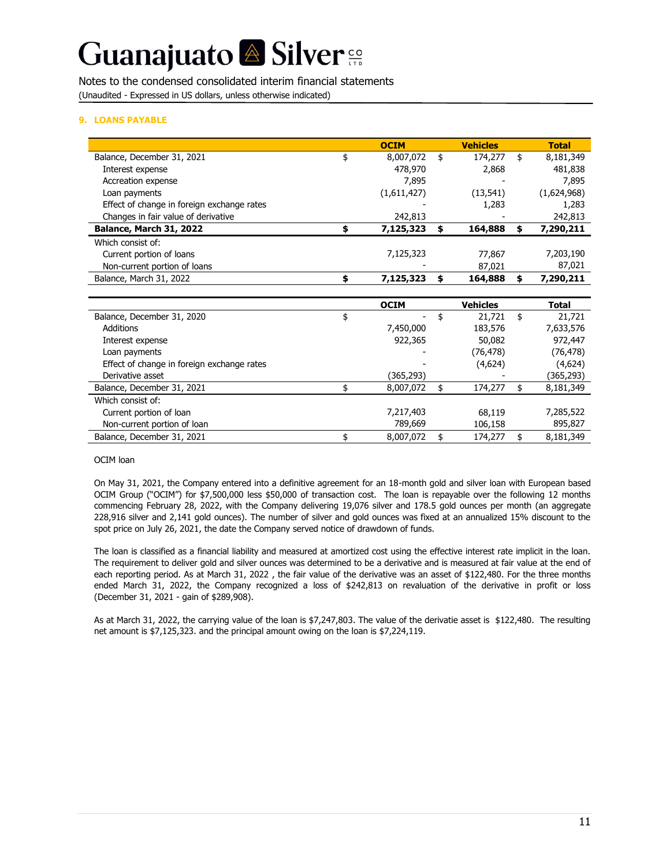Notes to the condensed consolidated interim financial statements (Unaudited - Expressed in US dollars, unless otherwise indicated)

#### **9. LOANS PAYABLE**

|                                            | <b>OCIM</b>     | <b>Vehicles</b> | <b>Total</b>    |
|--------------------------------------------|-----------------|-----------------|-----------------|
| Balance, December 31, 2021                 | \$<br>8,007,072 | \$<br>174,277   | \$<br>8,181,349 |
| Interest expense                           | 478,970         | 2,868           | 481,838         |
| Accreation expense                         | 7,895           |                 | 7,895           |
| Loan payments                              | (1,611,427)     | (13, 541)       | (1,624,968)     |
| Effect of change in foreign exchange rates |                 | 1,283           | 1,283           |
| Changes in fair value of derivative        | 242,813         |                 | 242,813         |
| Balance, March 31, 2022                    | \$<br>7,125,323 | \$<br>164,888   | \$<br>7,290,211 |
| Which consist of:                          |                 |                 |                 |
| Current portion of loans                   | 7,125,323       | 77,867          | 7,203,190       |
| Non-current portion of loans               |                 | 87,021          | 87,021          |
| Balance, March 31, 2022                    | \$<br>7,125,323 | \$<br>164,888   | \$<br>7,290,211 |
|                                            |                 |                 |                 |
|                                            | <b>OCIM</b>     | <b>Vehicles</b> | <b>Total</b>    |
| Balance, December 31, 2020                 | \$              | \$<br>21,721    | \$<br>21,721    |
| Additions                                  | 7,450,000       | 183,576         | 7,633,576       |
| Interest expense                           | 922,365         | 50,082          | 972,447         |
| Loan payments                              |                 | (76, 478)       | (76, 478)       |
| Effect of change in foreign exchange rates |                 | (4,624)         | (4,624)         |
| Derivative asset                           | (365,293)       |                 | (365,293)       |
| Balance, December 31, 2021                 | \$<br>8,007,072 | \$<br>174,277   | \$<br>8,181,349 |
| Which consist of:                          |                 |                 |                 |
| Current portion of loan                    | 7,217,403       | 68,119          | 7,285,522       |
| Non-current portion of loan                | 789,669         | 106,158         | 895,827         |
| Balance, December 31, 2021                 | \$<br>8,007,072 | \$<br>174,277   | \$<br>8,181,349 |

#### OCIM loan

On May 31, 2021, the Company entered into a definitive agreement for an 18-month gold and silver loan with European based OCIM Group ("OCIM") for \$7,500,000 less \$50,000 of transaction cost. The loan is repayable over the following 12 months commencing February 28, 2022, with the Company delivering 19,076 silver and 178.5 gold ounces per month (an aggregate 228,916 silver and 2,141 gold ounces). The number of silver and gold ounces was fixed at an annualized 15% discount to the spot price on July 26, 2021, the date the Company served notice of drawdown of funds.

The loan is classified as a financial liability and measured at amortized cost using the effective interest rate implicit in the loan. The requirement to deliver gold and silver ounces was determined to be a derivative and is measured at fair value at the end of each reporting period. As at March 31, 2022 , the fair value of the derivative was an asset of \$122,480. For the three months ended March 31, 2022, the Company recognized a loss of \$242,813 on revaluation of the derivative in profit or loss (December 31, 2021 - gain of \$289,908).

As at March 31, 2022, the carrying value of the loan is \$7,247,803. The value of the derivatie asset is \$122,480. The resulting net amount is \$7,125,323. and the principal amount owing on the loan is \$7,224,119.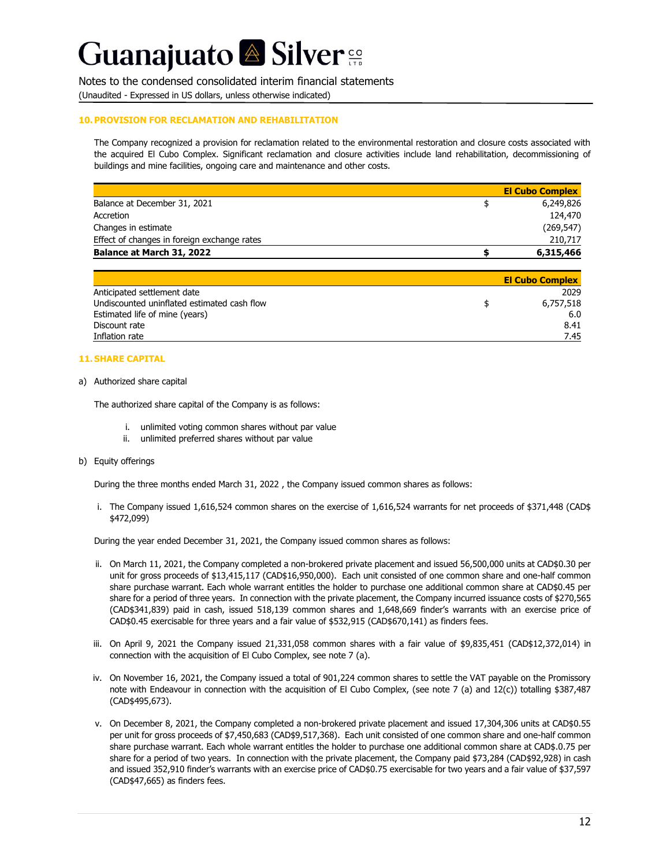Notes to the condensed consolidated interim financial statements

(Unaudited - Expressed in US dollars, unless otherwise indicated)

#### **10. PROVISION FOR RECLAMATION AND REHABILITATION**

The Company recognized a provision for reclamation related to the environmental restoration and closure costs associated with the acquired El Cubo Complex. Significant reclamation and closure activities include land rehabilitation, decommissioning of buildings and mine facilities, ongoing care and maintenance and other costs.

|                                             | <b>El Cubo Complex</b> |
|---------------------------------------------|------------------------|
| Balance at December 31, 2021                | 6,249,826              |
| Accretion                                   | 124,470                |
| Changes in estimate                         | (269, 547)             |
| Effect of changes in foreign exchange rates | 210,717                |
| Balance at March 31, 2022                   | 6,315,466              |

|                                             | <b>El Cubo Complex</b> |
|---------------------------------------------|------------------------|
| Anticipated settlement date                 | 2029                   |
| Undiscounted uninflated estimated cash flow | 6,757,518              |
| Estimated life of mine (years)              | 6.0                    |
| Discount rate                               | 8.41                   |
| Inflation rate                              | 7.45                   |

#### **11. SHARE CAPITAL**

#### a) Authorized share capital

The authorized share capital of the Company is as follows:

- i. unlimited voting common shares without par value
- ii. unlimited preferred shares without par value
- b) Equity offerings

During the three months ended March 31, 2022 , the Company issued common shares as follows:

i. The Company issued 1,616,524 common shares on the exercise of 1,616,524 warrants for net proceeds of \$371,448 (CAD\$ \$472,099)

During the year ended December 31, 2021, the Company issued common shares as follows:

- ii. On March 11, 2021, the Company completed a non-brokered private placement and issued 56,500,000 units at CAD\$0.30 per unit for gross proceeds of \$13,415,117 (CAD\$16,950,000). Each unit consisted of one common share and one-half common share purchase warrant. Each whole warrant entitles the holder to purchase one additional common share at CAD\$0.45 per share for a period of three years. In connection with the private placement, the Company incurred issuance costs of \$270,565 (CAD\$341,839) paid in cash, issued 518,139 common shares and 1,648,669 finder's warrants with an exercise price of CAD\$0.45 exercisable for three years and a fair value of \$532,915 (CAD\$670,141) as finders fees.
- iii. On April 9, 2021 the Company issued 21,331,058 common shares with a fair value of \$9,835,451 (CAD\$12,372,014) in connection with the acquisition of El Cubo Complex, see note 7 (a).
- iv. On November 16, 2021, the Company issued a total of 901,224 common shares to settle the VAT payable on the Promissory note with Endeavour in connection with the acquisition of El Cubo Complex, (see note 7 (a) and 12(c)) totalling \$387,487 (CAD\$495,673).
- v. On December 8, 2021, the Company completed a non-brokered private placement and issued 17,304,306 units at CAD\$0.55 per unit for gross proceeds of \$7,450,683 (CAD\$9,517,368). Each unit consisted of one common share and one-half common share purchase warrant. Each whole warrant entitles the holder to purchase one additional common share at CAD\$.0.75 per share for a period of two years. In connection with the private placement, the Company paid \$73,284 (CAD\$92,928) in cash and issued 352,910 finder's warrants with an exercise price of CAD\$0.75 exercisable for two years and a fair value of \$37,597 (CAD\$47,665) as finders fees.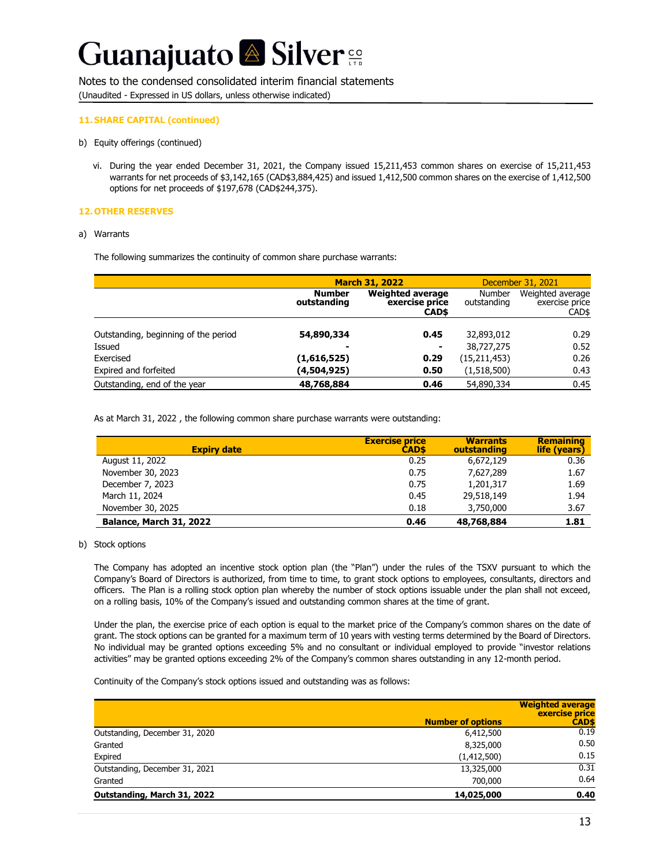#### Notes to the condensed consolidated interim financial statements

(Unaudited - Expressed in US dollars, unless otherwise indicated)

#### **11. SHARE CAPITAL (continued)**

- b) Equity offerings (continued)
	- vi. During the year ended December 31, 2021, the Company issued 15,211,453 common shares on exercise of 15,211,453 warrants for net proceeds of \$3,142,165 (CAD\$3,884,425) and issued 1,412,500 common shares on the exercise of 1,412,500 options for net proceeds of \$197,678 (CAD\$244,375).

#### **12. OTHER RESERVES**

#### a) Warrants

The following summarizes the continuity of common share purchase warrants:

|                                      |                              | <b>March 31, 2022</b>                              | December 31, 2021            |                                             |  |
|--------------------------------------|------------------------------|----------------------------------------------------|------------------------------|---------------------------------------------|--|
|                                      | <b>Number</b><br>outstanding | <b>Weighted average</b><br>exercise price<br>CAD\$ | <b>Number</b><br>outstanding | Weighted average<br>exercise price<br>CAD\$ |  |
|                                      |                              |                                                    |                              |                                             |  |
| Outstanding, beginning of the period | 54,890,334                   | 0.45                                               | 32,893,012                   | 0.29                                        |  |
| Issued                               |                              | ۰                                                  | 38,727,275                   | 0.52                                        |  |
| Exercised                            | (1,616,525)                  | 0.29                                               | (15, 211, 453)               | 0.26                                        |  |
| Expired and forfeited                | (4,504,925)                  | 0.50                                               | (1,518,500)                  | 0.43                                        |  |
| Outstanding, end of the year         | 48,768,884                   | 0.46                                               | 54,890,334                   | 0.45                                        |  |

As at March 31, 2022 , the following common share purchase warrants were outstanding:

| <b>Expiry date</b>      | <b>Exercise price</b><br><b>CADS</b> | <b>Warrants</b><br>outstanding | <b>Remaining</b><br>life (years) |
|-------------------------|--------------------------------------|--------------------------------|----------------------------------|
| August 11, 2022         | 0.25                                 | 6,672,129                      | 0.36                             |
| November 30, 2023       | 0.75                                 | 7,627,289                      | 1.67                             |
| December 7, 2023        | 0.75                                 | 1,201,317                      | 1.69                             |
| March 11, 2024          | 0.45                                 | 29,518,149                     | 1.94                             |
| November 30, 2025       | 0.18                                 | 3,750,000                      | 3.67                             |
| Balance, March 31, 2022 | 0.46                                 | 48,768,884                     | 1.81                             |

#### b) Stock options

The Company has adopted an incentive stock option plan (the "Plan") under the rules of the TSXV pursuant to which the Company's Board of Directors is authorized, from time to time, to grant stock options to employees, consultants, directors and officers. The Plan is a rolling stock option plan whereby the number of stock options issuable under the plan shall not exceed, on a rolling basis, 10% of the Company's issued and outstanding common shares at the time of grant.

Under the plan, the exercise price of each option is equal to the market price of the Company's common shares on the date of grant. The stock options can be granted for a maximum term of 10 years with vesting terms determined by the Board of Directors. No individual may be granted options exceeding 5% and no consultant or individual employed to provide "investor relations activities" may be granted options exceeding 2% of the Company's common shares outstanding in any 12-month period.

Continuity of the Company's stock options issued and outstanding was as follows:

|                                | <b>Number of options</b> | <b>Weighted average</b><br>exercise price<br><b>CAD\$</b> |
|--------------------------------|--------------------------|-----------------------------------------------------------|
| Outstanding, December 31, 2020 | 6,412,500                | 0.19                                                      |
| Granted                        | 8,325,000                | 0.50                                                      |
| Expired                        | (1,412,500)              | 0.15                                                      |
| Outstanding, December 31, 2021 | 13,325,000               | 0.31                                                      |
| Granted                        | 700,000                  | 0.64                                                      |
| Outstanding, March 31, 2022    | 14,025,000               | 0.40                                                      |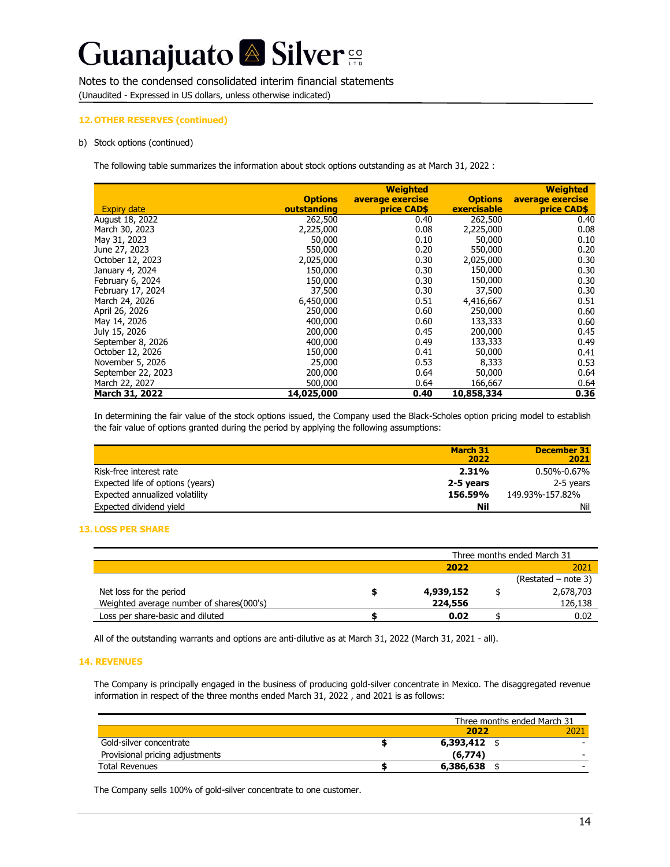#### Notes to the condensed consolidated interim financial statements

(Unaudited - Expressed in US dollars, unless otherwise indicated)

#### **12. OTHER RESERVES (continued)**

#### b) Stock options (continued)

The following table summarizes the information about stock options outstanding as at March 31, 2022 :

|                    | <b>Options</b> | <b>Weighted</b><br>average exercise | <b>Options</b> | <b>Weighted</b><br>average exercise |
|--------------------|----------------|-------------------------------------|----------------|-------------------------------------|
| <b>Expiry date</b> | outstanding    | <b>price CAD\$</b>                  | exercisable    | price CAD\$                         |
| August 18, 2022    | 262,500        | 0.40                                | 262,500        | 0.40                                |
| March 30, 2023     | 2,225,000      | 0.08                                | 2,225,000      | 0.08                                |
| May 31, 2023       | 50,000         | 0.10                                | 50,000         | 0.10                                |
| June 27, 2023      | 550,000        | 0.20                                | 550,000        | 0.20                                |
| October 12, 2023   | 2,025,000      | 0.30                                | 2,025,000      | 0.30                                |
| January 4, 2024    | 150,000        | 0.30                                | 150,000        | 0.30                                |
| February 6, 2024   | 150,000        | 0.30                                | 150,000        | 0.30                                |
| February 17, 2024  | 37,500         | 0.30                                | 37,500         | 0.30                                |
| March 24, 2026     | 6,450,000      | 0.51                                | 4,416,667      | 0.51                                |
| April 26, 2026     | 250,000        | 0.60                                | 250,000        | 0.60                                |
| May 14, 2026       | 400,000        | 0.60                                | 133,333        | 0.60                                |
| July 15, 2026      | 200,000        | 0.45                                | 200,000        | 0.45                                |
| September 8, 2026  | 400,000        | 0.49                                | 133,333        | 0.49                                |
| October 12, 2026   | 150,000        | 0.41                                | 50,000         | 0.41                                |
| November 5, 2026   | 25,000         | 0.53                                | 8,333          | 0.53                                |
| September 22, 2023 | 200,000        | 0.64                                | 50,000         | 0.64                                |
| March 22, 2027     | 500,000        | 0.64                                | 166,667        | 0.64                                |
| March 31, 2022     | 14,025,000     | 0.40                                | 10,858,334     | 0.36                                |

In determining the fair value of the stock options issued, the Company used the Black-Scholes option pricing model to establish the fair value of options granted during the period by applying the following assumptions:

|                                  | March 31<br>2022 | December 31<br>2021 |
|----------------------------------|------------------|---------------------|
| Risk-free interest rate          | 2.31%            | $0.50\% - 0.67\%$   |
| Expected life of options (years) | 2-5 vears        | 2-5 years           |
| Expected annualized volatility   | 156.59%          | 149.93%-157.82%     |
| Expected dividend yield          | Nil              | Nil                 |

#### **13. LOSS PER SHARE**

|                                          | Three months ended March 31 |  |                       |  |
|------------------------------------------|-----------------------------|--|-----------------------|--|
|                                          | 2022<br>2021                |  |                       |  |
|                                          |                             |  | $(Restated - note 3)$ |  |
| Net loss for the period                  | 4,939,152                   |  | 2,678,703             |  |
| Weighted average number of shares(000's) | 224,556                     |  | 126,138               |  |
| Loss per share-basic and diluted         | 0.02                        |  | 0.02                  |  |

All of the outstanding warrants and options are anti-dilutive as at March 31, 2022 (March 31, 2021 - all).

#### **14. REVENUES**

The Company is principally engaged in the business of producing gold-silver concentrate in Mexico. The disaggregated revenue information in respect of the three months ended March 31, 2022 , and 2021 is as follows:

|                                 |                | Three months ended March 31 |
|---------------------------------|----------------|-----------------------------|
|                                 | 2022           |                             |
| Gold-silver concentrate         | $6,393,412$ \$ |                             |
| Provisional pricing adjustments | (6.774)        |                             |
| <b>Total Revenues</b>           | 6,386,638      |                             |

The Company sells 100% of gold-silver concentrate to one customer.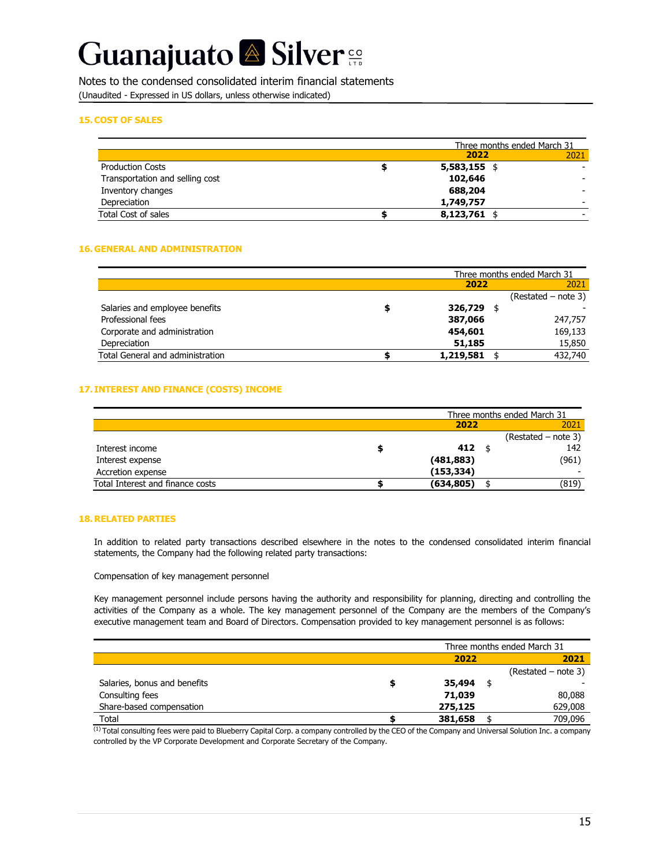Notes to the condensed consolidated interim financial statements (Unaudited - Expressed in US dollars, unless otherwise indicated)

#### **15.COST OF SALES**

|                                 | Three months ended March 31 |      |
|---------------------------------|-----------------------------|------|
|                                 | 2022                        | 2021 |
| <b>Production Costs</b>         | $5,583,155$ \$              |      |
| Transportation and selling cost | 102,646                     |      |
| Inventory changes               | 688,204                     |      |
| Depreciation                    | 1,749,757                   |      |
| Total Cost of sales             | $8,123,761$ \$              |      |

#### **16. GENERAL AND ADMINISTRATION**

|                                  |   |                | Three months ended March 31 |                       |  |
|----------------------------------|---|----------------|-----------------------------|-----------------------|--|
|                                  |   | 2022           |                             |                       |  |
|                                  |   |                |                             | $(Restated - note 3)$ |  |
| Salaries and employee benefits   | ш | 326,729        |                             |                       |  |
| Professional fees                |   | 387,066        |                             | 247,757               |  |
| Corporate and administration     |   | 454,601        |                             | 169,133               |  |
| Depreciation                     |   | 51,185         |                             | 15,850                |  |
| Total General and administration |   | $1,219,581$ \$ |                             | 432,740               |  |

#### **17. INTEREST AND FINANCE (COSTS) INCOME**

|                                  | Three months ended March 31 |  |                       |  |
|----------------------------------|-----------------------------|--|-----------------------|--|
|                                  | 2022                        |  | 2021                  |  |
|                                  |                             |  | $(Restated - note 3)$ |  |
| Interest income                  | 412                         |  | 142                   |  |
| Interest expense                 | (481,883)                   |  | (961)                 |  |
| Accretion expense                | (153, 334)                  |  |                       |  |
| Total Interest and finance costs | (634, 805)                  |  | (819)                 |  |

#### **18. RELATED PARTIES**

In addition to related party transactions described elsewhere in the notes to the condensed consolidated interim financial statements, the Company had the following related party transactions:

Compensation of key management personnel

Key management personnel include persons having the authority and responsibility for planning, directing and controlling the activities of the Company as a whole. The key management personnel of the Company are the members of the Company's executive management team and Board of Directors. Compensation provided to key management personnel is as follows:

|                              | Three months ended March 31 |                       |  |  |
|------------------------------|-----------------------------|-----------------------|--|--|
|                              | 2022                        | 2021                  |  |  |
|                              |                             | $(Restated - note 3)$ |  |  |
| Salaries, bonus and benefits | 35,494                      |                       |  |  |
| Consulting fees              | 71,039                      | 80,088                |  |  |
| Share-based compensation     | 275,125                     | 629,008               |  |  |
| Total                        | 381,658                     | 709.096               |  |  |

 $(1)$  Total consulting fees were paid to Blueberry Capital Corp. a company controlled by the CEO of the Company and Universal Solution Inc. a company controlled by the VP Corporate Development and Corporate Secretary of the Company.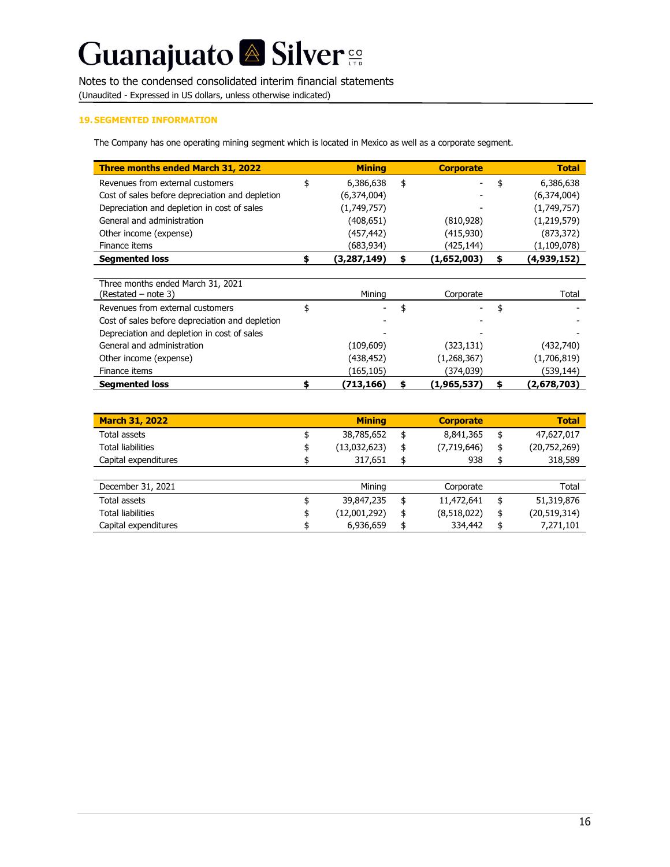# Guanajuato & Silver<sup>es</sup>

### Notes to the condensed consolidated interim financial statements

(Unaudited - Expressed in US dollars, unless otherwise indicated)

#### **19. SEGMENTED INFORMATION**

The Company has one operating mining segment which is located in Mexico as well as a corporate segment.

| <b>Three months ended March 31, 2022</b>        | <b>Mining</b>     |    | <b>Corporate</b> | <b>Total</b>      |
|-------------------------------------------------|-------------------|----|------------------|-------------------|
| Revenues from external customers                | \$<br>6,386,638   | \$ |                  | \$<br>6,386,638   |
| Cost of sales before depreciation and depletion | (6,374,004)       |    |                  | (6,374,004)       |
| Depreciation and depletion in cost of sales     | (1,749,757)       |    |                  | (1,749,757)       |
| General and administration                      | (408,651)         |    | (810, 928)       | (1,219,579)       |
| Other income (expense)                          | (457,442)         |    | (415, 930)       | (873, 372)        |
| Finance items                                   | (683,934)         |    | (425,144)        | (1, 109, 078)     |
| <b>Segmented loss</b>                           | \$<br>(3,287,149) | s  | (1,652,003)      | \$<br>(4,939,152) |
|                                                 |                   |    |                  |                   |
| Three months ended March 31, 2021               |                   |    |                  |                   |
| (Restated – note 3)                             | Mining            |    | Corporate        | Total             |
| Revenues from external customers                | \$                | \$ |                  | \$                |
| Cost of sales before depreciation and depletion |                   |    |                  |                   |
| Depreciation and depletion in cost of sales     |                   |    |                  |                   |
| General and administration                      | (109, 609)        |    | (323, 131)       | (432,740)         |
| Other income (expense)                          | (438,452)         |    | (1,268,367)      | (1,706,819)       |
| Finance items                                   | (165,105)         |    | (374,039)        | (539,144)         |
| <b>Segmented loss</b>                           | \$<br>(713,166)   | s  | (1,965,537)      | \$<br>(2,678,703) |
|                                                 |                   |    |                  |                   |

| <b>March 31, 2022</b> | <b>Mining</b>      | <b>Corporate</b>  | <b>Total</b>       |
|-----------------------|--------------------|-------------------|--------------------|
| Total assets          | 38,785,652         | \$<br>8,841,365   | \$<br>47,627,017   |
| Total liabilities     | (13,032,623)       | \$<br>(7,719,646) | \$<br>(20,752,269) |
| Capital expenditures  | 317,651            | \$<br>938         | \$<br>318,589      |
|                       |                    |                   |                    |
| December 31, 2021     | Mining             | Corporate         | Total              |
| Total assets          | 39,847,235         | \$<br>11,472,641  | \$<br>51,319,876   |
| Total liabilities     | \$<br>(12,001,292) | \$<br>(8,518,022) | \$<br>(20,519,314) |
| Capital expenditures  | 6,936,659          | \$<br>334,442     | \$<br>7,271,101    |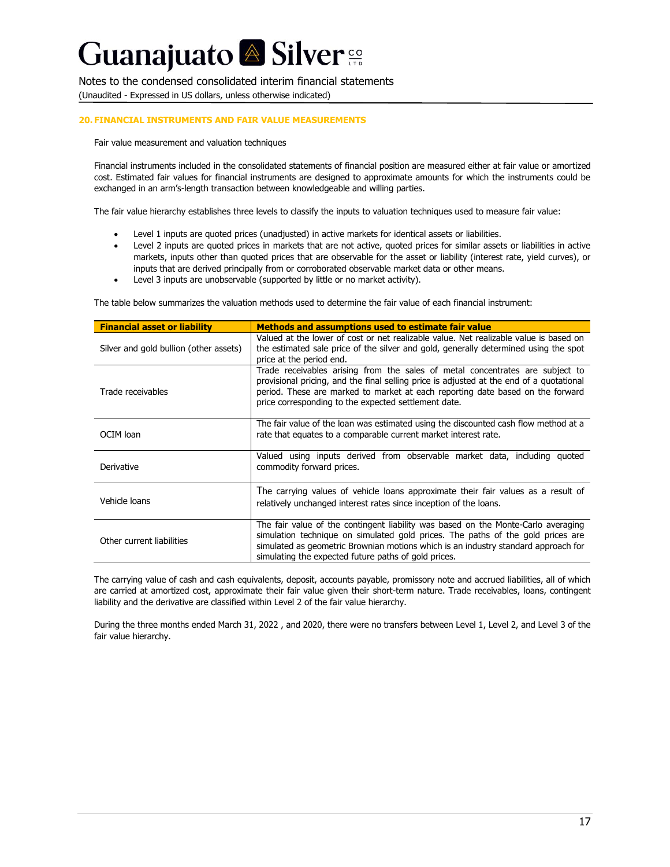Notes to the condensed consolidated interim financial statements (Unaudited - Expressed in US dollars, unless otherwise indicated)

#### **20. FINANCIAL INSTRUMENTS AND FAIR VALUE MEASUREMENTS**

Fair value measurement and valuation techniques

Financial instruments included in the consolidated statements of financial position are measured either at fair value or amortized cost. Estimated fair values for financial instruments are designed to approximate amounts for which the instruments could be exchanged in an arm's-length transaction between knowledgeable and willing parties.

The fair value hierarchy establishes three levels to classify the inputs to valuation techniques used to measure fair value:

- Level 1 inputs are quoted prices (unadjusted) in active markets for identical assets or liabilities.
- Level 2 inputs are quoted prices in markets that are not active, quoted prices for similar assets or liabilities in active markets, inputs other than quoted prices that are observable for the asset or liability (interest rate, yield curves), or inputs that are derived principally from or corroborated observable market data or other means.
- Level 3 inputs are unobservable (supported by little or no market activity).

The table below summarizes the valuation methods used to determine the fair value of each financial instrument:

| <b>Financial asset or liability</b>    | <b>Methods and assumptions used to estimate fair value</b>                                                                                                                                                                                                                                                          |
|----------------------------------------|---------------------------------------------------------------------------------------------------------------------------------------------------------------------------------------------------------------------------------------------------------------------------------------------------------------------|
| Silver and gold bullion (other assets) | Valued at the lower of cost or net realizable value. Net realizable value is based on<br>the estimated sale price of the silver and gold, generally determined using the spot<br>price at the period end.                                                                                                           |
| Trade receivables                      | Trade receivables arising from the sales of metal concentrates are subject to<br>provisional pricing, and the final selling price is adjusted at the end of a quotational<br>period. These are marked to market at each reporting date based on the forward<br>price corresponding to the expected settlement date. |
| OCIM loan                              | The fair value of the loan was estimated using the discounted cash flow method at a<br>rate that equates to a comparable current market interest rate.                                                                                                                                                              |
| Derivative                             | Valued using inputs derived from observable market data, including quoted<br>commodity forward prices.                                                                                                                                                                                                              |
| Vehicle loans                          | The carrying values of vehicle loans approximate their fair values as a result of<br>relatively unchanged interest rates since inception of the loans.                                                                                                                                                              |
| Other current liabilities              | The fair value of the contingent liability was based on the Monte-Carlo averaging<br>simulation technique on simulated gold prices. The paths of the gold prices are<br>simulated as geometric Brownian motions which is an industry standard approach for<br>simulating the expected future paths of gold prices.  |

The carrying value of cash and cash equivalents, deposit, accounts payable, promissory note and accrued liabilities, all of which are carried at amortized cost, approximate their fair value given their short-term nature. Trade receivables, loans, contingent liability and the derivative are classified within Level 2 of the fair value hierarchy.

During the three months ended March 31, 2022 , and 2020, there were no transfers between Level 1, Level 2, and Level 3 of the fair value hierarchy.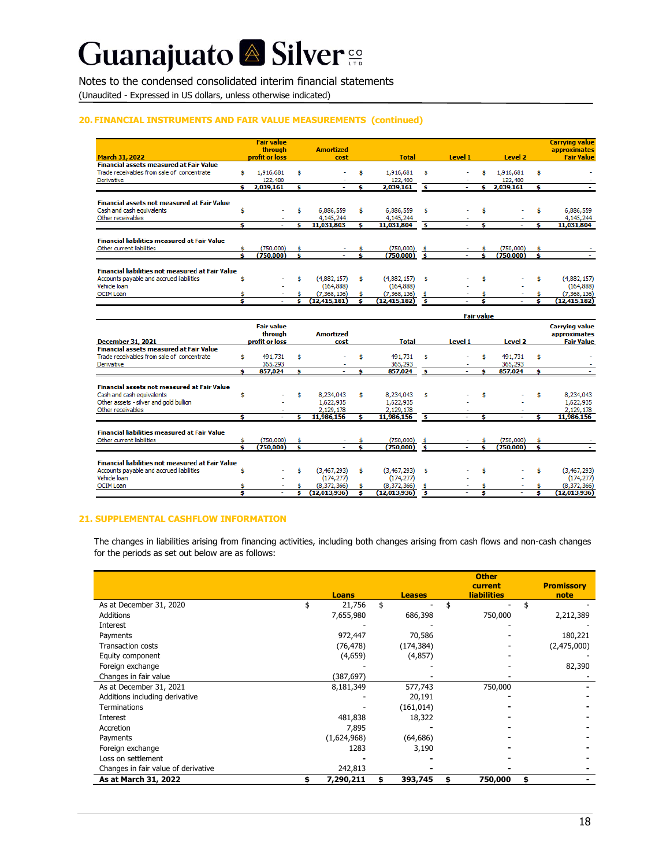## Guanajuato <sup>2</sup> Silver<sup>co</sup>

#### Notes to the condensed consolidated interim financial statements

(Unaudited - Expressed in US dollars, unless otherwise indicated)

#### **20. FINANCIAL INSTRUMENTS AND FAIR VALUE MEASUREMENTS (continued)**

|                                                         |     | <b>Fair value</b>        |    |                  |    |                          |      |         |                   |           |    | <b>Carrying value</b> |
|---------------------------------------------------------|-----|--------------------------|----|------------------|----|--------------------------|------|---------|-------------------|-----------|----|-----------------------|
|                                                         |     | through                  |    | <b>Amortized</b> |    |                          |      |         |                   |           |    | approximates          |
| <b>March 31, 2022</b>                                   |     | profit or loss           |    | cost             |    | <b>Total</b>             |      | Level 1 |                   | Level 2   |    | <b>Fair Value</b>     |
| <b>Financial assets measured at Fair Value</b>          |     |                          |    |                  |    |                          |      |         |                   |           |    |                       |
| Trade receivables from sale of concentrate              | Ś.  | 1,916,681                | \$ |                  | Ś. | 1,916,681                | Ś.   |         | \$                | 1,916,681 | \$ |                       |
| Derivative                                              |     | 122,480                  |    |                  |    | 122,480                  |      |         |                   | 122,480   |    |                       |
|                                                         | Ś.  | 2,039,161                | s  |                  | s  | 2,039,161                | s    |         |                   | 2,039,161 | s  |                       |
|                                                         |     |                          |    |                  |    |                          |      |         |                   |           |    |                       |
| <b>Financial assets not measured at Fair Value</b>      |     |                          |    |                  |    |                          |      |         |                   |           |    |                       |
| Cash and cash equivalents                               | \$  |                          | Š. | 6,886,559        | \$ | 6,886,559                | Ś    |         | \$.               |           | \$ | 6,886,559             |
| Other receivables                                       |     |                          |    | 4, 145, 244      |    | 4.145.244                |      |         |                   |           |    | 4.145.244             |
|                                                         | s   |                          | s  | 11,031,803       | s  | 11,031,804               | \$   |         | s                 |           | s  | 11,031,804            |
|                                                         |     |                          |    |                  |    |                          |      |         |                   |           |    |                       |
| <b>Financial liabilities measured at Fair Value</b>     |     |                          |    |                  |    |                          |      |         |                   |           |    |                       |
| Other current liabilities                               | \$. | (750,000)                | \$ |                  |    | (750,000)                | \$   |         | \$.               | (750,000) | s  |                       |
|                                                         |     | (750.000)                | s  |                  |    | (750,000)                | - \$ |         |                   | (750.000) | s  |                       |
|                                                         |     |                          |    |                  |    |                          |      |         |                   |           |    |                       |
| <b>Financial liabilities not measured at Fair Value</b> |     |                          |    |                  |    |                          |      |         |                   |           |    |                       |
| Accounts pavable and accrued liabilities                | Ś   |                          | Ś  | (4,882,157)      | Ś. | (4,882,157)              | \$.  |         | Ś                 |           | Ś  | (4,882,157)           |
| Vehicle loan                                            |     |                          |    | (164, 888)       |    | (164, 888)               |      |         |                   |           |    | (164, 888)            |
| <b>OCIM Loan</b>                                        |     |                          |    | (7,368,136)      |    | (7,368,136)              | s    |         |                   |           |    | (7,368,136)           |
|                                                         | Ś   |                          | ¢  | (12, 415, 181)   | s  | (12, 415, 182)           | s    |         |                   |           | ¢  | (12, 415, 182)        |
|                                                         |     |                          |    |                  |    |                          |      |         | <b>Fair value</b> |           |    |                       |
|                                                         |     | <b>Fair value</b>        |    |                  |    |                          |      |         |                   |           |    | <b>Carrying value</b> |
|                                                         |     | through                  |    | <b>Amortized</b> |    |                          |      |         |                   |           |    | approximates          |
| <b>December 31, 2021</b>                                |     | profit or loss           |    | cost             |    | <b>Total</b>             |      | Level 1 |                   | Level 2   |    | <b>Fair Value</b>     |
| <b>Financial assets measured at Fair Value</b>          |     |                          |    |                  |    |                          |      |         |                   |           |    |                       |
| Trade receivables from sale of concentrate              | Ś.  | 491,731                  | \$ |                  |    | 491,731                  | Ś    |         | \$                | 491,731   | Ś. |                       |
| Derivative                                              |     | 365,293                  |    |                  |    | 365,293                  |      |         |                   | 365,293   |    |                       |
|                                                         | s.  | 857,024                  | s  |                  | ¢. | 857,024                  | s    |         | ¢.                | 857,024   | Ś  |                       |
|                                                         |     |                          |    |                  |    |                          |      |         |                   |           |    |                       |
| <b>Financial assets not measured at Fair Value</b>      |     |                          |    |                  |    |                          |      |         |                   |           |    |                       |
| Cash and cash equivalents                               | s   |                          | Ś. | 8,234,043        | Ś. | 8,234,043                | Ś    |         | s                 |           | Ś. | 8,234,043             |
| Other assets - silver and gold bullion                  |     |                          |    | 1,622,935        |    | 1,622,935                |      |         |                   |           |    | 1,622,935             |
| Other receivables                                       |     |                          |    | 2,129,178        |    | 2,129,178                |      |         |                   |           |    | 2,129,178             |
|                                                         | s   | ٠                        | s  | 11,986,156       | s  | 11,986,156               | Ś    | ٠       | s                 | ٠         | s  | 11,986,156            |
|                                                         |     |                          |    |                  |    |                          |      |         |                   |           |    |                       |
| <b>Financial liabilities measured at Fair Value</b>     |     |                          |    |                  |    |                          |      |         |                   |           |    |                       |
| Other current liabilities                               |     | (750,000)                |    |                  |    | (750,000)                |      |         |                   | (750,000) |    |                       |
|                                                         | ÷   | <b><i>Latin uuul</i></b> |    |                  |    | <b><i>Latio</i></b> vour |      |         | ÷                 | (TFA,000) | ÷  |                       |

|                                                         | (750,000) |              | (730,000)     |        | 1730,000 J |              |
|---------------------------------------------------------|-----------|--------------|---------------|--------|------------|--------------|
|                                                         |           |              |               |        |            |              |
| <b>Financial liabilities not measured at Fair Value</b> |           |              |               |        |            |              |
| Accounts payable and accrued liabilities                |           | (3,467,293)  | (3,467,293)   | -      |            | (3,467,293)  |
| Vehicle loan                                            |           | (174, 277)   | (174, 277)    | ۰      |            | (174, 277)   |
| <b>OCIM Loan</b>                                        |           | (8.372.366)  | (8, 372, 366) | $\sim$ |            | (8,372,366)  |
|                                                         |           | (12.013.936) | (12,013,936)  |        |            | (12,013,936) |
|                                                         |           |              |               |        |            |              |

#### **21. SUPPLEMENTAL CASHFLOW INFORMATION**

The changes in liabilities arising from financing activities, including both changes arising from cash flows and non-cash changes for the periods as set out below are as follows:

|                                     | <b>Loans</b>    | <b>Leases</b> | <b>Other</b><br>current<br><b>liabilities</b> | <b>Promissory</b><br>note |
|-------------------------------------|-----------------|---------------|-----------------------------------------------|---------------------------|
| As at December 31, 2020             | 21,756          | \$            |                                               |                           |
| <b>Additions</b>                    | 7,655,980       | 686,398       | 750,000                                       | 2,212,389                 |
| Interest                            |                 |               |                                               |                           |
| Payments                            | 972,447         | 70,586        |                                               | 180,221                   |
| <b>Transaction costs</b>            | (76, 478)       | (174, 384)    |                                               | (2,475,000)               |
| Equity component                    | (4,659)         | (4,857)       |                                               |                           |
| Foreign exchange                    |                 |               |                                               | 82,390                    |
| Changes in fair value               | (387, 697)      |               |                                               |                           |
| As at December 31, 2021             | 8,181,349       | 577,743       | 750,000                                       |                           |
| Additions including derivative      |                 | 20,191        |                                               |                           |
| <b>Terminations</b>                 |                 | (161, 014)    |                                               |                           |
| Interest                            | 481,838         | 18,322        |                                               |                           |
| Accretion                           | 7,895           |               |                                               |                           |
| Payments                            | (1,624,968)     | (64, 686)     |                                               |                           |
| Foreign exchange                    | 1283            | 3,190         |                                               |                           |
| Loss on settlement                  |                 |               |                                               |                           |
| Changes in fair value of derivative | 242,813         |               |                                               |                           |
| As at March 31, 2022                | \$<br>7,290,211 | 393,745       | 750,000                                       | \$                        |